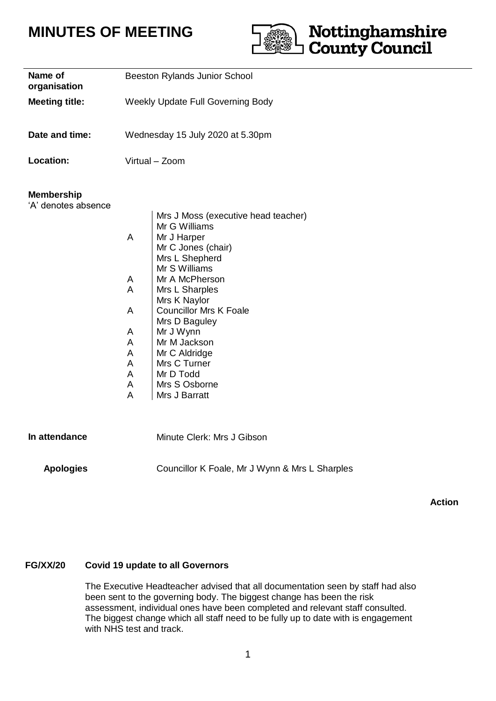# **MINUTES OF MEETING**



| Name of<br>organisation                  | Beeston Rylands Junior School<br>Weekly Update Full Governing Body |                                                                                                                                                                                                                                                                                                                                                 |
|------------------------------------------|--------------------------------------------------------------------|-------------------------------------------------------------------------------------------------------------------------------------------------------------------------------------------------------------------------------------------------------------------------------------------------------------------------------------------------|
| <b>Meeting title:</b>                    |                                                                    |                                                                                                                                                                                                                                                                                                                                                 |
| Date and time:                           | Wednesday 15 July 2020 at 5.30pm                                   |                                                                                                                                                                                                                                                                                                                                                 |
| Location:                                | Virtual - Zoom                                                     |                                                                                                                                                                                                                                                                                                                                                 |
| <b>Membership</b><br>'A' denotes absence | A<br>A<br>A<br>A<br>A<br>A<br>A<br>A<br>A<br>A<br>A                | Mrs J Moss (executive head teacher)<br>Mr G Williams<br>Mr J Harper<br>Mr C Jones (chair)<br>Mrs L Shepherd<br>Mr S Williams<br>Mr A McPherson<br>Mrs L Sharples<br>Mrs K Naylor<br><b>Councillor Mrs K Foale</b><br>Mrs D Baguley<br>Mr J Wynn<br>Mr M Jackson<br>Mr C Aldridge<br>Mrs C Turner<br>Mr D Todd<br>Mrs S Osborne<br>Mrs J Barratt |
| In attendance                            |                                                                    | Minute Clerk: Mrs J Gibson                                                                                                                                                                                                                                                                                                                      |
| <b>Apologies</b>                         |                                                                    | Councillor K Foale, Mr J Wynn & Mrs L Sharples                                                                                                                                                                                                                                                                                                  |

**Action**

### **FG/XX/20 Covid 19 update to all Governors**

The Executive Headteacher advised that all documentation seen by staff had also been sent to the governing body. The biggest change has been the risk assessment, individual ones have been completed and relevant staff consulted. The biggest change which all staff need to be fully up to date with is engagement with NHS test and track.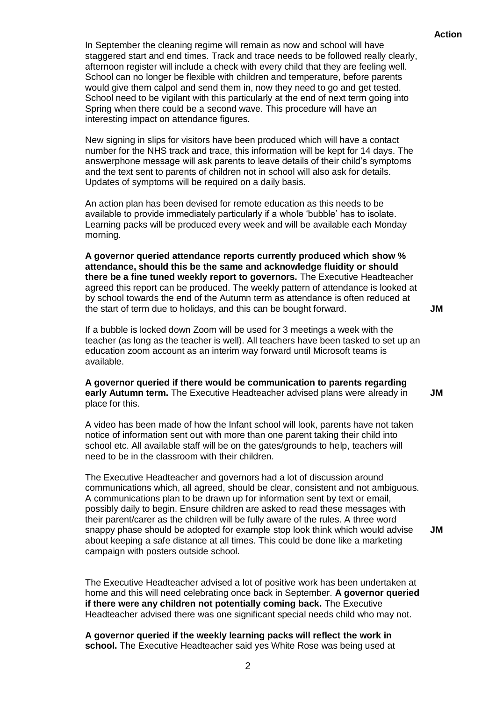In September the cleaning regime will remain as now and school will have staggered start and end times. Track and trace needs to be followed really clearly, afternoon register will include a check with every child that they are feeling well. School can no longer be flexible with children and temperature, before parents would give them calpol and send them in, now they need to go and get tested. School need to be vigilant with this particularly at the end of next term going into Spring when there could be a second wave. This procedure will have an interesting impact on attendance figures.

New signing in slips for visitors have been produced which will have a contact number for the NHS track and trace, this information will be kept for 14 days. The answerphone message will ask parents to leave details of their child's symptoms and the text sent to parents of children not in school will also ask for details. Updates of symptoms will be required on a daily basis.

An action plan has been devised for remote education as this needs to be available to provide immediately particularly if a whole 'bubble' has to isolate. Learning packs will be produced every week and will be available each Monday morning.

**A governor queried attendance reports currently produced which show % attendance, should this be the same and acknowledge fluidity or should there be a fine tuned weekly report to governors.** The Executive Headteacher agreed this report can be produced. The weekly pattern of attendance is looked at by school towards the end of the Autumn term as attendance is often reduced at the start of term due to holidays, and this can be bought forward.

If a bubble is locked down Zoom will be used for 3 meetings a week with the teacher (as long as the teacher is well). All teachers have been tasked to set up an education zoom account as an interim way forward until Microsoft teams is available.

**A governor queried if there would be communication to parents regarding early Autumn term.** The Executive Headteacher advised plans were already in place for this. **JM**

A video has been made of how the Infant school will look, parents have not taken notice of information sent out with more than one parent taking their child into school etc. All available staff will be on the gates/grounds to help, teachers will need to be in the classroom with their children.

The Executive Headteacher and governors had a lot of discussion around communications which, all agreed, should be clear, consistent and not ambiguous. A communications plan to be drawn up for information sent by text or email, possibly daily to begin. Ensure children are asked to read these messages with their parent/carer as the children will be fully aware of the rules. A three word snappy phase should be adopted for example stop look think which would advise about keeping a safe distance at all times. This could be done like a marketing campaign with posters outside school. **JM**

The Executive Headteacher advised a lot of positive work has been undertaken at home and this will need celebrating once back in September. **A governor queried if there were any children not potentially coming back.** The Executive Headteacher advised there was one significant special needs child who may not.

**A governor queried if the weekly learning packs will reflect the work in school.** The Executive Headteacher said yes White Rose was being used at **JM**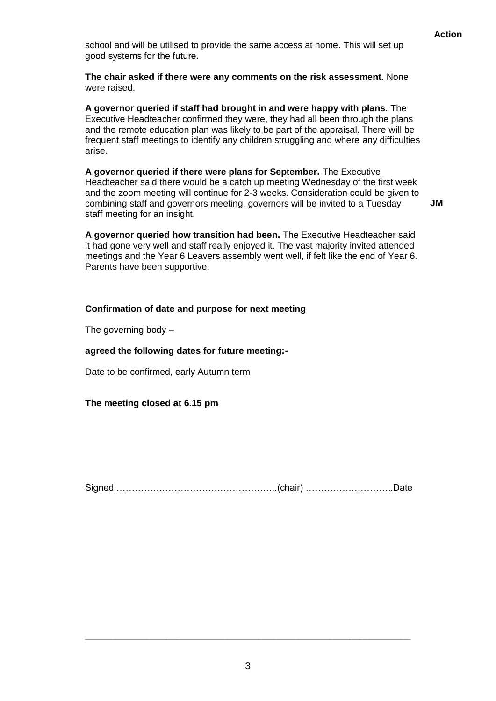school and will be utilised to provide the same access at home**.** This will set up good systems for the future.

**The chair asked if there were any comments on the risk assessment.** None were raised.

**A governor queried if staff had brought in and were happy with plans.** The Executive Headteacher confirmed they were, they had all been through the plans and the remote education plan was likely to be part of the appraisal. There will be frequent staff meetings to identify any children struggling and where any difficulties arise.

**A governor queried if there were plans for September.** The Executive Headteacher said there would be a catch up meeting Wednesday of the first week and the zoom meeting will continue for 2-3 weeks. Consideration could be given to combining staff and governors meeting, governors will be invited to a Tuesday staff meeting for an insight.

**JM**

**A governor queried how transition had been.** The Executive Headteacher said it had gone very well and staff really enjoyed it. The vast majority invited attended meetings and the Year 6 Leavers assembly went well, if felt like the end of Year 6. Parents have been supportive.

## **Confirmation of date and purpose for next meeting**

The governing body –

### **agreed the following dates for future meeting:-**

Date to be confirmed, early Autumn term

**The meeting closed at 6.15 pm**

Signed ……………………………………………..(chair) ………………………..Date

**\_\_\_\_\_\_\_\_\_\_\_\_\_\_\_\_\_\_\_\_\_\_\_\_\_\_\_\_\_\_\_\_\_\_\_\_\_\_\_\_\_\_\_\_\_\_\_\_\_\_\_\_\_\_\_\_\_\_\_\_\_\_\_\_**